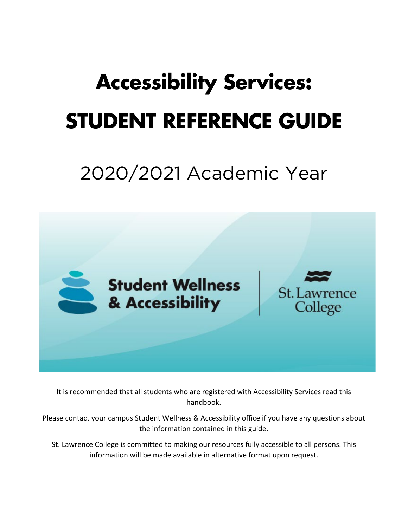# **Accessibility Services: STUDENT REFERENCE GUIDE**

## 2020/2021 Academic Year



It is recommended that all students who are registered with Accessibility Services read this handbook.

Please contact your campus Student Wellness & Accessibility office if you have any questions about the information contained in this guide.

<span id="page-0-0"></span>St. Lawrence College is committed to making our resources fully accessible to all persons. This information will be made available in alternative format upon request.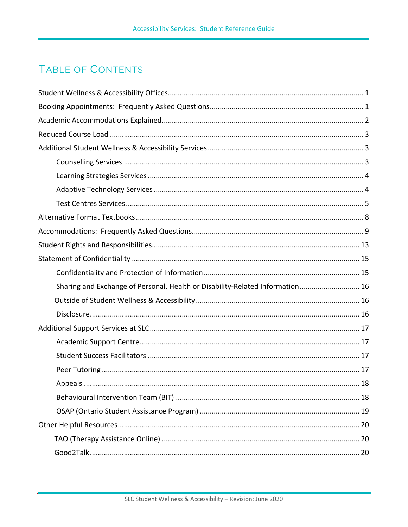## <span id="page-2-0"></span>**TABLE OF CONTENTS**

| Sharing and Exchange of Personal, Health or Disability-Related Information 16 |
|-------------------------------------------------------------------------------|
|                                                                               |
|                                                                               |
|                                                                               |
|                                                                               |
|                                                                               |
|                                                                               |
|                                                                               |
|                                                                               |
|                                                                               |
|                                                                               |
|                                                                               |
|                                                                               |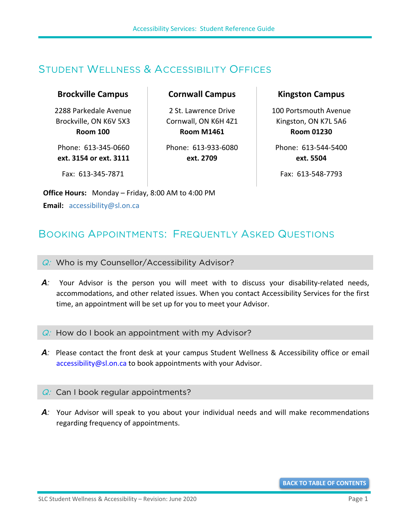## <span id="page-4-0"></span>STUDENT WELLNESS & ACCESSIBILITY OFFICES

#### **Brockville Campus**

2288 Parkedale Avenue Brockville, ON K6V 5X3 **Room 100**

Phone: 613-345-0660 **ext. 3154 or ext. 3111** **Cornwall Campus**

2 St. Lawrence Drive Cornwall, ON K6H 4Z1 **Room M1461**

Phone: 613-933-6080 **ext. 2709**

Fax: 613-345-7871

**Office Hours:** Monday – Friday, 8:00 AM to 4:00 PM **Email:** [accessibility@sl.on.ca](mailto:accessibility@sl.on.ca)

#### **Kingston Campus**

100 Portsmouth Avenue Kingston, ON K7L 5A6 **Room 01230**

Phone: 613-544-5400 **ext. 5504**

Fax: 613-548-7793

## <span id="page-4-1"></span>BOOKING APPOINTMENTS: FREQUENTLY ASKED QUESTIONS

 $Q:$  Who is my Counsellor/Accessibility Advisor?

- A: Your Advisor is the person you will meet with to discuss your disability-related needs, accommodations, and other related issues. When you contact Accessibility Services for the first time, an appointment will be set up for you to meet your Advisor.
- $Q:$  How do I book an appointment with my Advisor?
- *A:* Please contact the front desk at your campus Student Wellness & Accessibility office or email [accessibility@sl.on.ca](mailto:accessibility@sl.on.ca) to book appointments with your Advisor.

#### $Q$ : Can I book regular appointments?

A<sup>*:*</sup> Your Advisor will speak to you about your individual needs and will make recommendations regarding frequency of appointments.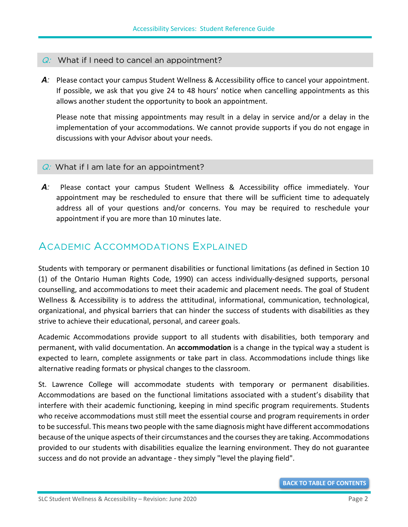#### $Q:$  What if I need to cancel an appointment?

*A:* Please contact your campus Student Wellness & Accessibility office to cancel your appointment. If possible, we ask that you give 24 to 48 hours' notice when cancelling appointments as this allows another student the opportunity to book an appointment.

Please note that missing appointments may result in a delay in service and/or a delay in the implementation of your accommodations. We cannot provide supports if you do not engage in discussions with your Advisor about your needs.

#### $Q:$  What if I am late for an appointment?

A<sub>*:*</sub> Please contact your campus Student Wellness & Accessibility office immediately. Your appointment may be rescheduled to ensure that there will be sufficient time to adequately address all of your questions and/or concerns. You may be required to reschedule your appointment if you are more than 10 minutes late.

### <span id="page-5-0"></span>ACADEMIC ACCOMMODATIONS EXPLAINED

Students with temporary or permanent disabilities or functional limitations (as defined in Section 10 (1) of the Ontario Human Rights Code, 1990) can access individually-designed supports, personal counselling, and accommodations to meet their academic and placement needs. The goal of Student Wellness & Accessibility is to address the attitudinal, informational, communication, technological, organizational, and physical barriers that can hinder the success of students with disabilities as they strive to achieve their educational, personal, and career goals.

Academic Accommodations provide support to all students with disabilities, both temporary and permanent, with valid documentation. An **accommodation** is a change in the typical way a student is expected to learn, complete assignments or take part in class. Accommodations include things like alternative reading formats or physical changes to the classroom.

St. Lawrence College will accommodate students with temporary or permanent disabilities. Accommodations are based on the functional limitations associated with a student's disability that interfere with their academic functioning, keeping in mind specific program requirements. Students who receive accommodations must still meet the essential course and program requirements in order to be successful. This means two people with the same diagnosis might have different accommodations because of the unique aspects of their circumstances and the courses they are taking. Accommodations provided to our students with disabilities equalize the learning environment. They do not guarantee success and do not provide an advantage - they simply "level the playing field".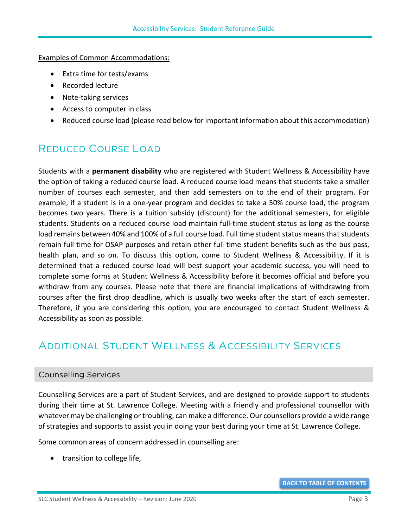Examples of Common Accommodations:

- Extra time for tests/exams
- Recorded lecture
- Note-taking services
- Access to computer in class
- Reduced course load (please read below for important information about this accommodation)

## <span id="page-6-0"></span>REDUCED COURSE LOAD

Students with a **permanent disability** who are registered with Student Wellness & Accessibility have the option of taking a reduced course load. A reduced course load means that students take a smaller number of courses each semester, and then add semesters on to the end of their program. For example, if a student is in a one-year program and decides to take a 50% course load, the program becomes two years. There is a tuition subsidy (discount) for the additional semesters, for eligible students. Students on a reduced course load maintain full-time student status as long as the course load remains between 40% and 100% of a full course load. Full time student status means that students remain full time for OSAP purposes and retain other full time student benefits such as the bus pass, health plan, and so on. To discuss this option, come to Student Wellness & Accessibility. If it is determined that a reduced course load will best support your academic success, you will need to complete some forms at Student Wellness & Accessibility before it becomes official and before you withdraw from any courses. Please note that there are financial implications of withdrawing from courses after the first drop deadline, which is usually two weeks after the start of each semester. Therefore, if you are considering this option, you are encouraged to contact Student Wellness & Accessibility as soon as possible.

## <span id="page-6-1"></span>ADDITIONAL STUDENT WELLNESS & ACCESSIBILITY SERVICES

#### <span id="page-6-2"></span>Counselling Services

Counselling Services are a part of Student Services, and are designed to provide support to students during their time at St. Lawrence College. Meeting with a friendly and professional counsellor with whatever may be challenging or troubling, can make a difference. Our counsellors provide a wide range of strategies and supports to assist you in doing your best during your time at St. Lawrence College.

Some common areas of concern addressed in counselling are:

• transition to college life,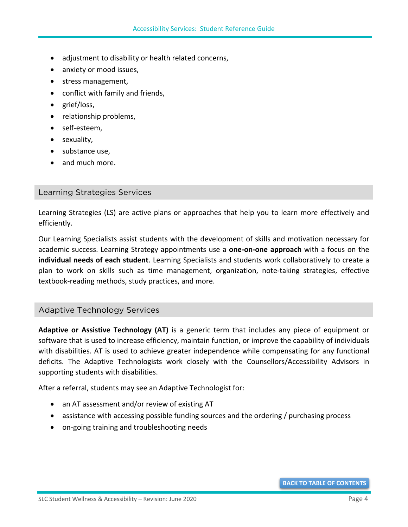- adjustment to disability or health related concerns,
- anxiety or mood issues,
- stress management,
- conflict with family and friends,
- grief/loss,
- relationship problems,
- self-esteem,
- sexuality,
- substance use,
- and much more.

#### <span id="page-7-0"></span>[Learning Strategies Services](https://www.stlawrencecollege.ca/campuses-and-services/services-and-facilities/accessibility/our-services/learning-strategies/)

Learning Strategies (LS) are active plans or approaches that help you to learn more effectively and efficiently.

Our Learning Specialists assist students with the development of skills and motivation necessary for academic success. Learning Strategy appointments use a **one-on-one approach** with a focus on the **individual needs of each student**. Learning Specialists and students work collaboratively to create a plan to work on skills such as time management, organization, note-taking strategies, effective textbook-reading methods, study practices, and more.

#### <span id="page-7-1"></span>[Adaptive Technology Services](https://www.stlawrencecollege.ca/campuses-and-services/services-and-facilities/accessibility/our-services/adaptive-technology-training/)

**Adaptive or Assistive Technology (AT)** is a generic term that includes any piece of equipment or software that is used to increase efficiency, maintain function, or improve the capability of individuals with disabilities. AT is used to achieve greater independence while compensating for any functional deficits. The Adaptive Technologists work closely with the Counsellors/Accessibility Advisors in supporting students with disabilities.

After a referral, students may see an Adaptive Technologist for:

- an AT assessment and/or review of existing AT
- assistance with accessing possible funding sources and the ordering / purchasing process
- on-going training and troubleshooting needs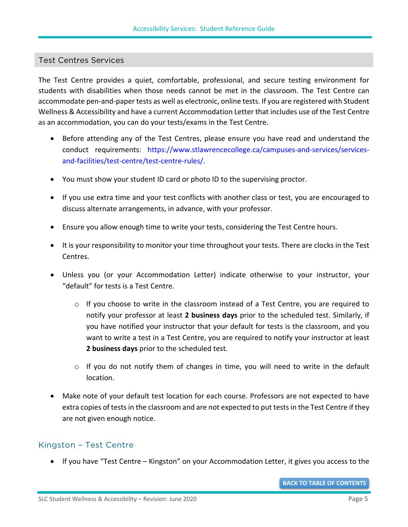#### <span id="page-8-0"></span>Test Centres Services

The Test Centre provides a quiet, comfortable, professional, and secure testing environment for students with disabilities when those needs cannot be met in the classroom. The Test Centre can accommodate pen-and-paper tests as well as electronic, online tests. If you are registered with Student Wellness & Accessibility and have a current Accommodation Letter that includes use of the Test Centre as an accommodation, you can do your tests/exams in the Test Centre.

- Before attending any of the Test Centres, please ensure you have read and understand the conduct requirements: [https://www.stlawrencecollege.ca/campuses-and-services/services](https://www.stlawrencecollege.ca/campuses-and-services/services-and-facilities/test-centre/test-centre-rules/)[and-facilities/test-centre/test-centre-rules/.](https://www.stlawrencecollege.ca/campuses-and-services/services-and-facilities/test-centre/test-centre-rules/)
- You must show your student ID card or photo ID to the supervising proctor.
- If you use extra time and your test conflicts with another class or test, you are encouraged to discuss alternate arrangements, in advance, with your professor.
- Ensure you allow enough time to write your tests, considering the Test Centre hours.
- It is your responsibility to monitor your time throughout your tests. There are clocks in the Test Centres.
- Unless you (or your Accommodation Letter) indicate otherwise to your instructor, your "default" for tests is a Test Centre.
	- $\circ$  If you choose to write in the classroom instead of a Test Centre, you are required to notify your professor at least **2 business days** prior to the scheduled test. Similarly, if you have notified your instructor that your default for tests is the classroom, and you want to write a test in a Test Centre, you are required to notify your instructor at least **2 business days** prior to the scheduled test.
	- $\circ$  If you do not notify them of changes in time, you will need to write in the default location.
- Make note of your default test location for each course. Professors are not expected to have extra copies of tests in the classroom and are not expected to put tests in the Test Centre if they are not given enough notice.

#### Kingston – Test Centre

• If you have "Test Centre – Kingston" on your Accommodation Letter, it gives you access to the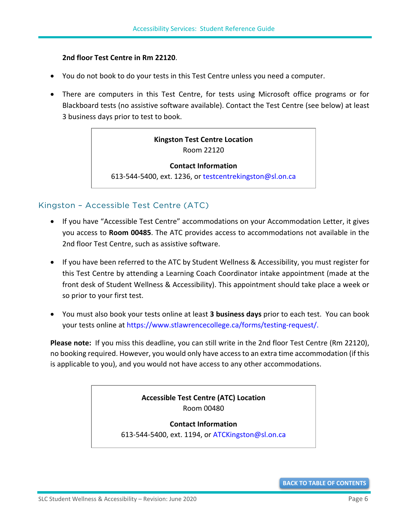#### **2nd floor Test Centre in Rm 22120**.

- You do not book to do your tests in this Test Centre unless you need a computer.
- There are computers in this Test Centre, for tests using Microsoft office programs or for Blackboard tests (no assistive software available). Contact the Test Centre (see below) at least 3 business days prior to test to book.

#### **Kingston Test Centre Location** Room 22120

**Contact Information** 613-544-5400, ext. 1236, or [testcentrekingston@sl.on.ca](mailto:testcentrekingston@sl.on.ca)

#### Kingston – Accessible Test Centre (ATC)

- If you have "Accessible Test Centre" accommodations on your Accommodation Letter, it gives you access to **Room 00485**. The ATC provides access to accommodations not available in the 2nd floor Test Centre, such as assistive software.
- If you have been referred to the ATC by Student Wellness & Accessibility, you must register for this Test Centre by attending a Learning Coach Coordinator intake appointment (made at the front desk of Student Wellness & Accessibility). This appointment should take place a week or so prior to your first test.
- You must also book your tests online at least **3 business days** prior to each test. You can book your tests online at [https://www.stlawrencecollege.ca/forms/testing-request/.](https://www.stlawrencecollege.ca/forms/testing-request/)

**Please note:** If you miss this deadline, you can still write in the 2nd floor Test Centre (Rm 22120), no booking required. However, you would only have access to an extra time accommodation (if this is applicable to you), and you would not have access to any other accommodations.

#### **Accessible Test Centre (ATC) Location** Room 00480

**Contact Information**

613-544-5400, ext. 1194, or [ATCKingston@sl.on.ca](mailto:ATCKingston@sl.on.ca)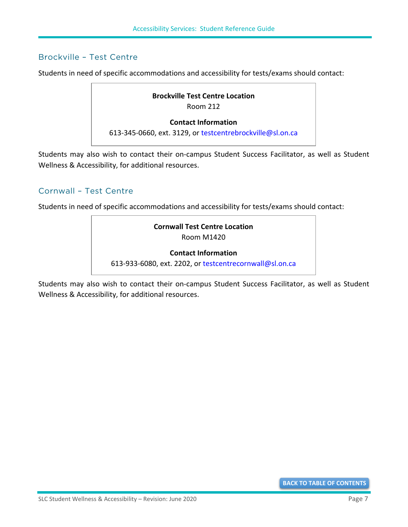#### Brockville – Test Centre

Students in need of specific accommodations and accessibility for tests/exams should contact:

## **Brockville Test Centre Location** Room 212 **Contact Information**

613-345-0660, ext. 3129, or [testcentrebrockville@sl.on.ca](mailto:testcentrebrockville@sl.on.ca)

Students may also wish to contact their on-campus Student Success Facilitator, as well as Student Wellness & Accessibility, for additional resources.

#### Cornwall – Test Centre

Students in need of specific accommodations and accessibility for tests/exams should contact:

#### **Cornwall Test Centre Location** Room M1420

#### **Contact Information**

613-933-6080, ext. 2202, or [testcentrecornwall@sl.on.ca](mailto:testcentrecornwall@sl.on.ca)

Students may also wish to contact their on-campus Student Success Facilitator, as well as Student Wellness & Accessibility, for additional resources.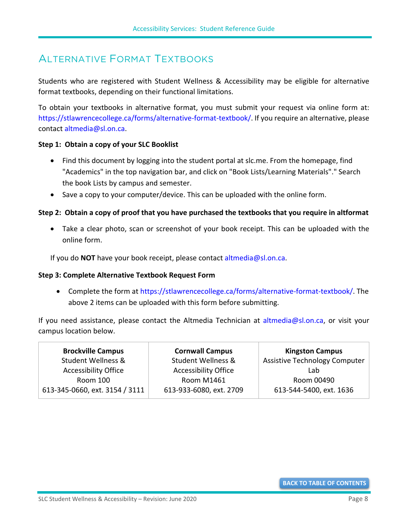## <span id="page-11-0"></span>ALTERNATIVE FORMAT TEXTBOOKS

Students who are registered with Student Wellness & Accessibility may be eligible for alternative format textbooks, depending on their functional limitations.

To obtain your textbooks in alternative format, you must submit your request via online form at: [https://stlawrencecollege.ca/forms/alternative-format-textbook/.](https://stlawrencecollege.ca/forms/alternative-format-textbook/) If you require an alternative, please contact [altmedia@sl.on.ca.](mailto:altmedia@sl.on.ca)

#### **Step 1: Obtain a copy of your SLC Booklist**

- Find this document by logging into the student portal at slc.me. From the homepage, find "Academics" in the top navigation bar, and click on "Book Lists/Learning Materials"." Search the book Lists by campus and semester.
- Save a copy to your computer/device. This can be uploaded with the online form.

#### **Step 2: Obtain a copy of proof that you have purchased the textbooks that you require in altformat**

• Take a clear photo, scan or screenshot of your book receipt. This can be uploaded with the online form.

If you do **NOT** have your book receipt, please contact [altmedia@sl.on.ca.](mailto:altmedia@sl.on.ca)

#### **Step 3: Complete Alternative Textbook Request Form**

• Complete the form at [https://stlawrencecollege.ca/forms/alternative-format-textbook/.](https://stlawrencecollege.ca/forms/alternative-format-textbook/) The above 2 items can be uploaded with this form before submitting.

If you need assistance, please contact the Altmedia Technician at [altmedia@sl.on.ca,](mailto:altmedia@sl.on.ca) or visit your campus location below.

| <b>Brockville Campus</b>       | <b>Cornwall Campus</b>        | <b>Kingston Campus</b>               |
|--------------------------------|-------------------------------|--------------------------------------|
| <b>Student Wellness &amp;</b>  | <b>Student Wellness &amp;</b> | <b>Assistive Technology Computer</b> |
| <b>Accessibility Office</b>    | <b>Accessibility Office</b>   | Lab                                  |
| Room 100                       | <b>Room M1461</b>             | Room 00490                           |
| 613-345-0660, ext. 3154 / 3111 | 613-933-6080, ext. 2709       | 613-544-5400, ext. 1636              |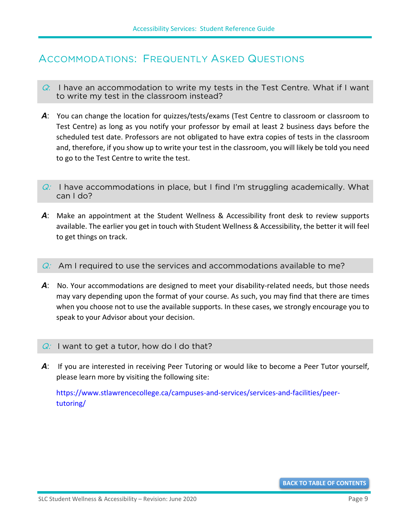## <span id="page-12-0"></span>ACCOMMODATIONS: FREQUENTLY ASKED QUESTIONS

- $Q:$  I have an accommodation to write my tests in the Test Centre. What if I want to write my test in the classroom instead?
- A: You can change the location for quizzes/tests/exams (Test Centre to classroom or classroom to Test Centre) as long as you notify your professor by email at least 2 business days before the scheduled test date. Professors are not obligated to have extra copies of tests in the classroom and, therefore, if you show up to write your test in the classroom, you will likely be told you need to go to the Test Centre to write the test.
- $Q:$  I have accommodations in place, but I find I'm struggling academically. What can I do?
- A: Make an appointment at the Student Wellness & Accessibility front desk to review supports available. The earlier you get in touch with Student Wellness & Accessibility, the better it will feel to get things on track.

#### $Q:$  Am I required to use the services and accommodations available to me?

A: No. Your accommodations are designed to meet your disability-related needs, but those needs may vary depending upon the format of your course. As such, you may find that there are times when you choose not to use the available supports. In these cases, we strongly encourage you to speak to your Advisor about your decision.

#### $Q:$  I want to get a tutor, how do I do that?

A: If you are interested in receiving Peer Tutoring or would like to become a Peer Tutor yourself, please learn more by visiting the following site:

[https://www.stlawrencecollege.ca/campuses-and-services/services-and-facilities/peer](https://www.stlawrencecollege.ca/campuses-and-services/services-and-facilities/peer-tutoring/)[tutoring/](https://www.stlawrencecollege.ca/campuses-and-services/services-and-facilities/peer-tutoring/)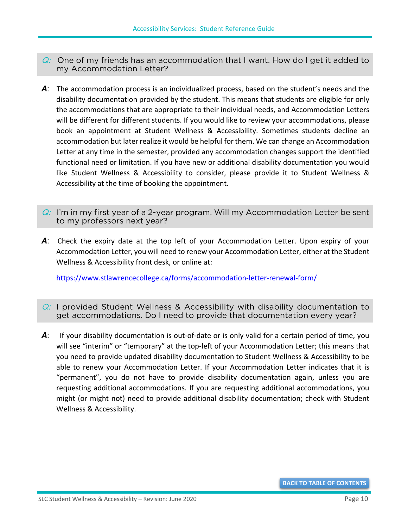- $Q$ : One of my friends has an accommodation that I want. How do I get it added to my Accommodation Letter?
- A: The accommodation process is an individualized process, based on the student's needs and the disability documentation provided by the student. This means that students are eligible for only the accommodations that are appropriate to their individual needs, and Accommodation Letters will be different for different students. If you would like to review your accommodations, please book an appointment at Student Wellness & Accessibility. Sometimes students decline an accommodation but later realize it would be helpful for them. We can change an Accommodation Letter at any time in the semester, provided any accommodation changes support the identified functional need or limitation. If you have new or additional disability documentation you would like Student Wellness & Accessibility to consider, please provide it to Student Wellness & Accessibility at the time of booking the appointment.
- $Q: I'm$  in my first year of a 2-year program. Will my Accommodation Letter be sent to my professors next year?
- *A*: Check the expiry date at the top left of your Accommodation Letter. Upon expiry of your Accommodation Letter, you will need to renew your Accommodation Letter, either at the Student Wellness & Accessibility front desk, or online at:

<https://www.stlawrencecollege.ca/forms/accommodation-letter-renewal-form/>

- $Q$ : I provided Student Wellness & Accessibility with disability documentation to get accommodations. Do I need to provide that documentation every year?
- *A*: If your disability documentation is out-of-date or is only valid for a certain period of time, you will see "interim" or "temporary" at the top-left of your Accommodation Letter; this means that you need to provide updated disability documentation to Student Wellness & Accessibility to be able to renew your Accommodation Letter. If your Accommodation Letter indicates that it is "permanent", you do not have to provide disability documentation again, unless you are requesting additional accommodations. If you are requesting additional accommodations, you might (or might not) need to provide additional disability documentation; check with Student Wellness & Accessibility.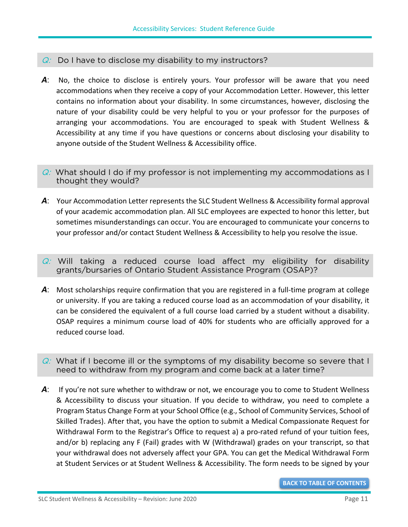#### $Q:$  Do I have to disclose my disability to my instructors?

- A: No, the choice to disclose is entirely yours. Your professor will be aware that you need accommodations when they receive a copy of your Accommodation Letter. However, this letter contains no information about your disability. In some circumstances, however, disclosing the nature of your disability could be very helpful to you or your professor for the purposes of arranging your accommodations. You are encouraged to speak with Student Wellness & Accessibility at any time if you have questions or concerns about disclosing your disability to anyone outside of the Student Wellness & Accessibility office.
- $Q$ : What should I do if my professor is not implementing my accommodations as I thought they would?
- *A*: Your Accommodation Letter represents the SLC Student Wellness & Accessibility formal approval of your academic accommodation plan. All SLC employees are expected to honor this letter, but sometimes misunderstandings can occur. You are encouraged to communicate your concerns to your professor and/or contact Student Wellness & Accessibility to help you resolve the issue.
- $Q$ : Will taking a reduced course load affect my eligibility for disability grants/bursaries of Ontario Student Assistance Program (OSAP)?
- A: Most scholarships require confirmation that you are registered in a full-time program at college or university. If you are taking a reduced course load as an accommodation of your disability, it can be considered the equivalent of a full course load carried by a student without a disability. OSAP requires a minimum course load of 40% for students who are officially approved for a reduced course load.
- $Q$ : What if I become ill or the symptoms of my disability become so severe that I need to withdraw from my program and come back at a later time?
- A: If you're not sure whether to withdraw or not, we encourage you to come to Student Wellness & Accessibility to discuss your situation. If you decide to withdraw, you need to complete a Program Status Change Form at your School Office (e.g., School of Community Services, School of Skilled Trades). After that, you have the option to submit a Medical Compassionate Request for Withdrawal Form to the Registrar's Office to request a) a pro-rated refund of your tuition fees, and/or b) replacing any F (Fail) grades with W (Withdrawal) grades on your transcript, so that your withdrawal does not adversely affect your GPA. You can get the Medical Withdrawal Form at Student Services or at Student Wellness & Accessibility. The form needs to be signed by your

**[BACK TO TABLE OF CONTENTS](#page-0-0)**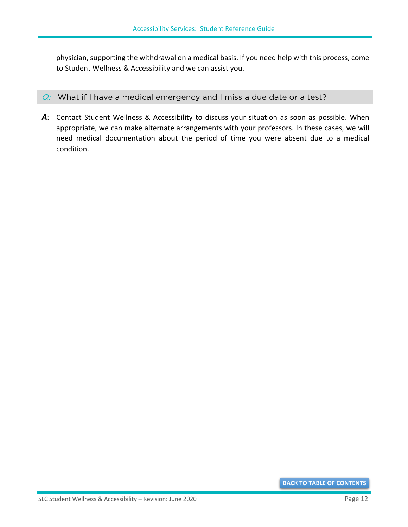physician, supporting the withdrawal on a medical basis. If you need help with this process, come to Student Wellness & Accessibility and we can assist you.

- $Q:$  What if I have a medical emergency and I miss a due date or a test?
- *A*: Contact Student Wellness & Accessibility to discuss your situation as soon as possible. When appropriate, we can make alternate arrangements with your professors. In these cases, we will need medical documentation about the period of time you were absent due to a medical condition.

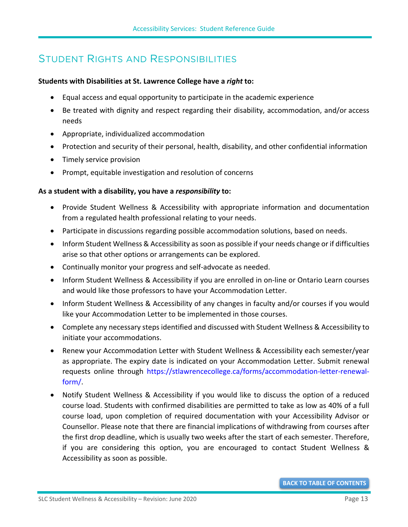## <span id="page-16-0"></span>STUDENT RIGHTS AND RESPONSIBILITIES

#### **Students with Disabilities at St. Lawrence College have a** *right* **to:**

- Equal access and equal opportunity to participate in the academic experience
- Be treated with dignity and respect regarding their disability, accommodation, and/or access needs
- Appropriate, individualized accommodation
- Protection and security of their personal, health, disability, and other confidential information
- Timely service provision
- Prompt, equitable investigation and resolution of concerns

#### **As a student with a disability, you have a** *responsibility* **to:**

- Provide Student Wellness & Accessibility with appropriate information and documentation from a regulated health professional relating to your needs.
- Participate in discussions regarding possible accommodation solutions, based on needs.
- Inform Student Wellness & Accessibility as soon as possible if your needs change or if difficulties arise so that other options or arrangements can be explored.
- Continually monitor your progress and self-advocate as needed.
- Inform Student Wellness & Accessibility if you are enrolled in on-line or Ontario Learn courses and would like those professors to have your Accommodation Letter.
- Inform Student Wellness & Accessibility of any changes in faculty and/or courses if you would like your Accommodation Letter to be implemented in those courses.
- Complete any necessary steps identified and discussed with Student Wellness & Accessibility to initiate your accommodations.
- Renew your Accommodation Letter with Student Wellness & Accessibility each semester/year as appropriate. The expiry date is indicated on your Accommodation Letter. Submit renewal requests online through [https://stlawrencecollege.ca/forms/accommodation-letter-renewal](https://stlawrencecollege.ca/forms/accommodation-letter-renewal-form/)[form/.](https://stlawrencecollege.ca/forms/accommodation-letter-renewal-form/)
- Notify Student Wellness & Accessibility if you would like to discuss the option of a reduced course load. Students with confirmed disabilities are permitted to take as low as 40% of a full course load, upon completion of required documentation with your Accessibility Advisor or Counsellor. Please note that there are financial implications of withdrawing from courses after the first drop deadline, which is usually two weeks after the start of each semester. Therefore, if you are considering this option, you are encouraged to contact Student Wellness & Accessibility as soon as possible.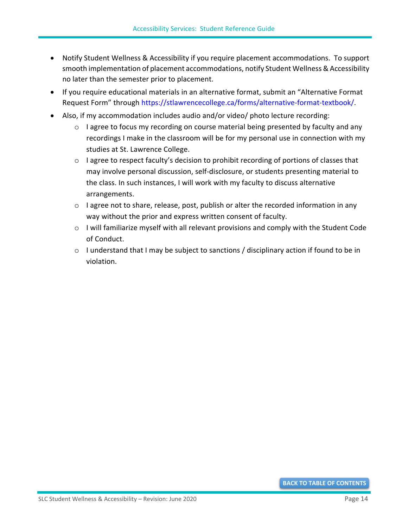- Notify Student Wellness & Accessibility if you require placement accommodations. To support smooth implementation of placement accommodations, notify Student Wellness & Accessibility no later than the semester prior to placement.
- If you require educational materials in an alternative format, submit an "Alternative Format Request Form" through [https://stlawrencecollege.ca/forms/alternative-format-textbook/.](https://stlawrencecollege.ca/forms/alternative-format-textbook/)
- Also, if my accommodation includes audio and/or video/ photo lecture recording:
	- $\circ$  I agree to focus my recording on course material being presented by faculty and any recordings I make in the classroom will be for my personal use in connection with my studies at St. Lawrence College.
	- o I agree to respect faculty's decision to prohibit recording of portions of classes that may involve personal discussion, self-disclosure, or students presenting material to the class. In such instances, I will work with my faculty to discuss alternative arrangements.
	- o I agree not to share, release, post, publish or alter the recorded information in any way without the prior and express written consent of faculty.
	- $\circ$  I will familiarize myself with all relevant provisions and comply with the Student Code of Conduct.
	- o I understand that I may be subject to sanctions / disciplinary action if found to be in violation.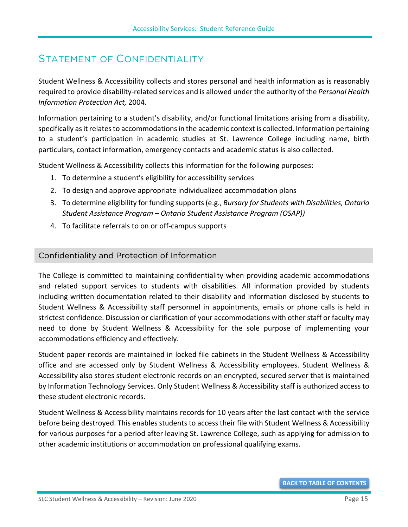## <span id="page-18-0"></span>STATEMENT OF CONFIDENTIALITY

Student Wellness & Accessibility collects and stores personal and health information as is reasonably required to provide disability-related services and is allowed under the authority of the *Personal Health Information Protection Act,* 2004.

Information pertaining to a student's disability, and/or functional limitations arising from a disability, specifically as it relates to accommodations in the academic context is collected. Information pertaining to a student's participation in academic studies at St. Lawrence College including name, birth particulars, contact information, emergency contacts and academic status is also collected.

Student Wellness & Accessibility collects this information for the following purposes:

- 1. To determine a student's eligibility for accessibility services
- 2. To design and approve appropriate individualized accommodation plans
- 3. To determine eligibility for funding supports (e.g., *Bursary for Students with Disabilities, Ontario Student Assistance Program – Ontario Student Assistance Program (OSAP))*
- 4. To facilitate referrals to on or off-campus supports

#### <span id="page-18-1"></span>Confidentiality and Protection of Information

The College is committed to maintaining confidentiality when providing academic accommodations and related support services to students with disabilities. All information provided by students including written documentation related to their disability and information disclosed by students to Student Wellness & Accessibility staff personnel in appointments, emails or phone calls is held in strictest confidence. Discussion or clarification of your accommodations with other staff or faculty may need to done by Student Wellness & Accessibility for the sole purpose of implementing your accommodations efficiency and effectively.

Student paper records are maintained in locked file cabinets in the Student Wellness & Accessibility office and are accessed only by Student Wellness & Accessibility employees. Student Wellness & Accessibility also stores student electronic records on an encrypted, secured server that is maintained by Information Technology Services. Only Student Wellness & Accessibility staff is authorized access to these student electronic records.

Student Wellness & Accessibility maintains records for 10 years after the last contact with the service before being destroyed. This enables students to access their file with Student Wellness & Accessibility for various purposes for a period after leaving St. Lawrence College, such as applying for admission to other academic institutions or accommodation on professional qualifying exams.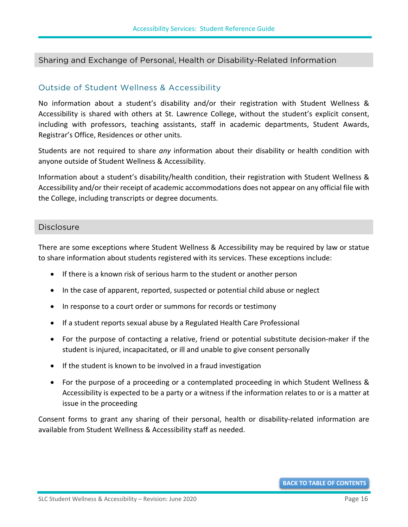#### <span id="page-19-0"></span>Sharing and Exchange of Personal, Health or Disability-Related Information

#### <span id="page-19-1"></span>Outside of Student Wellness & Accessibility

No information about a student's disability and/or their registration with Student Wellness & Accessibility is shared with others at St. Lawrence College, without the student's explicit consent, including with professors, teaching assistants, staff in academic departments, Student Awards, Registrar's Office, Residences or other units.

Students are not required to share *any* information about their disability or health condition with anyone outside of Student Wellness & Accessibility.

Information about a student's disability/health condition, their registration with Student Wellness & Accessibility and/or their receipt of academic accommodations does not appear on any official file with the College, including transcripts or degree documents.

#### <span id="page-19-2"></span>**Disclosure**

There are some exceptions where Student Wellness & Accessibility may be required by law or statue to share information about students registered with its services. These exceptions include:

- If there is a known risk of serious harm to the student or another person
- In the case of apparent, reported, suspected or potential child abuse or neglect
- In response to a court order or summons for records or testimony
- If a student reports sexual abuse by a Regulated Health Care Professional
- For the purpose of contacting a relative, friend or potential substitute decision-maker if the student is injured, incapacitated, or ill and unable to give consent personally
- If the student is known to be involved in a fraud investigation
- For the purpose of a proceeding or a contemplated proceeding in which Student Wellness & Accessibility is expected to be a party or a witness if the information relates to or is a matter at issue in the proceeding

Consent forms to grant any sharing of their personal, health or disability-related information are available from Student Wellness & Accessibility staff as needed.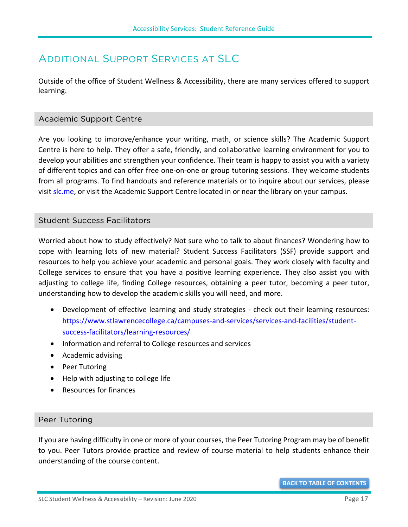## <span id="page-20-0"></span>ADDITIONAL SUPPORT SERVICES AT SLC

Outside of the office of Student Wellness & Accessibility, there are many services offered to support learning.

#### <span id="page-20-1"></span>Academic Support Centre

Are you looking to improve/enhance your writing, math, or science skills? The Academic Support Centre is here to help. They offer a safe, friendly, and collaborative learning environment for you to develop your abilities and strengthen your confidence. Their team is happy to assist you with a variety of different topics and can offer free one-on-one or group tutoring sessions. They welcome students from all programs. To find handouts and reference materials or to inquire about our services, please visit [slc.me,](https://slc.me/) or visit the Academic Support Centre located in or near the library on your campus.

#### <span id="page-20-2"></span>Student Success Facilitators

Worried about how to study effectively? Not sure who to talk to about finances? Wondering how to cope with learning lots of new material? Student Success Facilitators (SSF) provide support and resources to help you achieve your academic and personal goals. They work closely with faculty and College services to ensure that you have a positive learning experience. They also assist you with adjusting to college life, finding College resources, obtaining a peer tutor, becoming a peer tutor, understanding how to develop the academic skills you will need, and more.

- Development of effective learning and study strategies check out their learning resources: [https://www.stlawrencecollege.ca/campuses-and-services/services-and-facilities/student](https://www.stlawrencecollege.ca/campuses-and-services/services-and-facilities/student-success-facilitators/learning-resources/)[success-facilitators/learning-resources/](https://www.stlawrencecollege.ca/campuses-and-services/services-and-facilities/student-success-facilitators/learning-resources/)
- Information and referral to College resources and services
- Academic advising
- Peer Tutoring
- Help with adjusting to college life
- Resources for finances

#### <span id="page-20-3"></span>Peer Tutoring

If you are having difficulty in one or more of your courses, the Peer Tutoring Program may be of benefit to you. Peer Tutors provide practice and review of course material to help students enhance their understanding of the course content.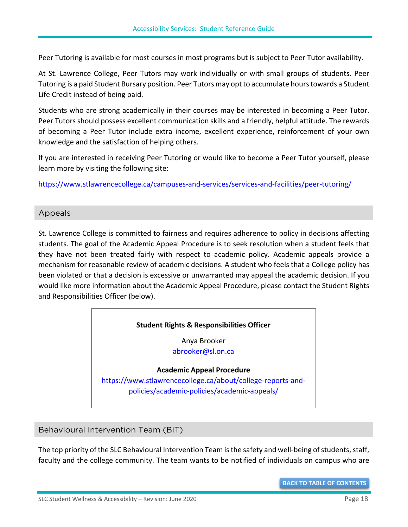Peer Tutoring is available for most courses in most programs but is subject to Peer Tutor availability.

At St. Lawrence College, Peer Tutors may work individually or with small groups of students. Peer Tutoring is a paid Student Bursary position. Peer Tutors may opt to accumulate hours towards a Student Life Credit instead of being paid.

Students who are strong academically in their courses may be interested in becoming a Peer Tutor. Peer Tutors should possess excellent communication skills and a friendly, helpful attitude. The rewards of becoming a Peer Tutor include extra income, excellent experience, reinforcement of your own knowledge and the satisfaction of helping others.

If you are interested in receiving Peer Tutoring or would like to become a Peer Tutor yourself, please learn more by visiting the following site:

<span id="page-21-0"></span><https://www.stlawrencecollege.ca/campuses-and-services/services-and-facilities/peer-tutoring/>

#### Appeals

St. Lawrence College is committed to fairness and requires adherence to policy in decisions affecting students. The goal of the Academic Appeal Procedure is to seek resolution when a student feels that they have not been treated fairly with respect to academic policy. Academic appeals provide a mechanism for reasonable review of academic decisions. A student who feels that a College policy has been violated or that a decision is excessive or unwarranted may appeal the academic decision. If you would like more information about the Academic Appeal Procedure, please contact the Student Rights and Responsibilities Officer (below).

#### **Student Rights & Responsibilities Officer**

Anya Brooker [abrooker@sl.on.ca](mailto:abrooker@sl.on.ca)

**Academic Appeal Procedure**

[https://www.stlawrencecollege.ca/about/college-reports-and](https://www.stlawrencecollege.ca/about/college-reports-and-policies/academic-policies/academic-appeals/)[policies/academic-policies/academic-appeals/](https://www.stlawrencecollege.ca/about/college-reports-and-policies/academic-policies/academic-appeals/)

#### <span id="page-21-1"></span>Behavioural Intervention Team (BIT)

The top priority of the SLC Behavioural Intervention Team is the safety and well-being of students, staff, faculty and the college community. The team wants to be notified of individuals on campus who are

**[BACK TO TABLE OF CONTENTS](#page-0-0)**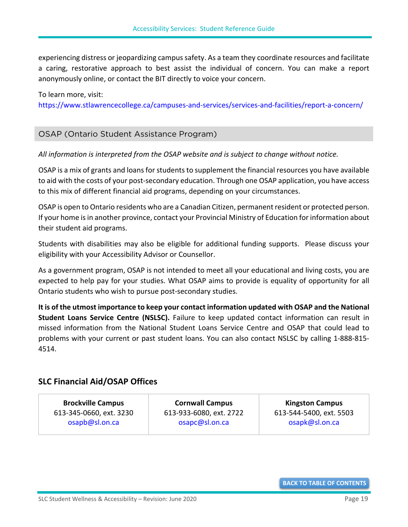experiencing distress or jeopardizing campus safety. As a team they coordinate resources and facilitate a caring, restorative approach to best assist the individual of concern. You can make a report anonymously online, or contact the BIT directly to voice your concern.

#### To learn more, visit:

<https://www.stlawrencecollege.ca/campuses-and-services/services-and-facilities/report-a-concern/>

#### <span id="page-22-0"></span>OSAP (Ontario Student Assistance Program)

*All information is interpreted from the OSAP website and is subject to change without notice.*

OSAP is a mix of grants and loans for students to supplement the financial resources you have available to aid with the costs of your post-secondary education. Through one OSAP application, you have access to this mix of different financial aid programs, depending on your circumstances.

OSAP is open to Ontario residents who are a Canadian Citizen, permanent resident or protected person. If your home is in another province, contact your Provincial Ministry of Education for information about their student aid programs.

Students with disabilities may also be eligible for additional funding supports. Please discuss your eligibility with your Accessibility Advisor or Counsellor.

As a government program, OSAP is not intended to meet all your educational and living costs, you are expected to help pay for your studies. What OSAP aims to provide is equality of opportunity for all Ontario students who wish to pursue post-secondary studies.

**It is of the utmost importance to keep your contact information updated with [OSAP](https://www.ontario.ca/page/osap-ontario-student-assistance-program) and th[e National](https://csnpe-nslsc.cibletudes-canlearn.ca/Eng/Default.aspx)  [Student Loans Service Centre](https://csnpe-nslsc.cibletudes-canlearn.ca/Eng/Default.aspx) (NSLSC).** Failure to keep updated contact information can result in missed information from the National Student Loans Service Centre and OSAP that could lead to problems with your current or past student loans. You can also contact NSLSC by calling 1-888-815- 4514.

#### **SLC Financial Aid/OSAP Offices**

**Brockville Campus** 613-345-0660, ext. 3230 [osapb@sl.on.ca](mailto:osapb@sl.on.ca)

**Cornwall Campus** 613-933-6080, ext. 2722 [osapc@sl.on.ca](mailto:osapc@sl.on.ca)

**Kingston Campus** 613-544-5400, ext. 5503 [osapk@sl.on.ca](mailto:osapk@sl.on.ca)